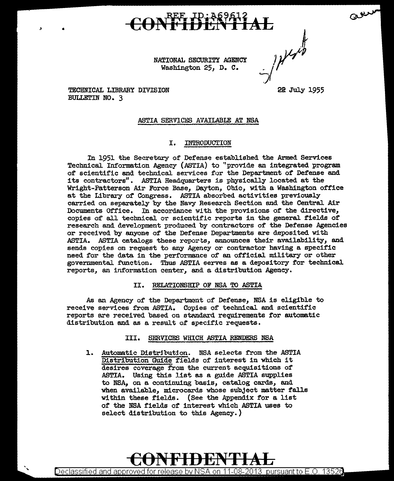NATIONAL SECURITY AGENCY Washington 25, D. c.

- / Here's 2e July 1955

arry

TECHNICAL LIBRARY DIVISION BULLETIN NO. 3

 $\mathbf{B}$  **.** 

#### ASTIA SERVICES AVAILABLE AT NSA

#### I. INTRODUCTION

In 1951 the Secretary of Defense established the Armed Services Technical. Information Agency (ASTIA) to ''provide an integrated program of scientific and technical services for the Department of Defense and its contractors". ASTIA Readquarters is physically located at the Wright-Patterson Air Force Base, Dayton, Ohio, with a Washington office at the Library of Congress. ASTIA absorbed activities previously carried on separately by the Navy Research Section and the Central Air Documents Office. In accordance with the provisions of the directive, copies of all technical or scientific reports in the general fields of research and development produced by contractors of the Defense Agencies or received by anyone of the Defense Departments are deposited with ASTIA. ASTIA cetalogs these reports, announces their availability, and sends copies on request to any Agency or contractor having a specific need for the data in the performance of an official military or other governmental function. Thus ASTIA serves as a depository for technical reports, an information center, and a distribution Agency.

#### II. RELATIONSHIP OF NSA TO ASTIA

As an Agency of the Department of Defense, NSA is eligible to receive services from ASTIA. Copies of technical and scientific reports are received based on standard requirements for automatic distribution and as a result 0£ specific requests.

#### III. SERVICES WHICH ASTIA RENDERS NSA

1. Automatic Distribution. NSA selects from the ASTIA Distribution Guide fields of interest in which it desires coverage from the current acquisitions of ASTIA. Using this list as a guide ASTIA supplies to NSA, on a continuing basis, catalog cards, end when available, microcards whose subject matter falls within these fields. (See the Appendix for a list of the NSA fields of interest which ASTIA uses to select distribution to this Agency.)

**CONFIDENTIAL**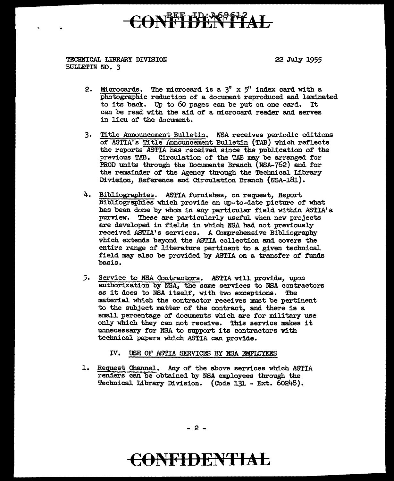## ON<sup>BEF</sup>IPCA62612

#### TECHNICAL LIBRARY DIVISION BULLETIN NO. 3

22 July 1955

- 2. Microcards. The microcard is a  $3''$  x  $5''$  index card with a photographic reduction of a document reproduced and laminated to its back. Up to 60 pages can be put on one card. It can be read with the aid of a microcard reader and serves in lieu of' the document.
- 3. Tit1e Announcement Bulletin. NSA receives periodic editions of' ASTIA' s Title Announcement Bulletin (TAB) which reflects the reports ASTIA has received since the publication of' the previous TAB. Circulation of the TAB may be arranged for PROD units through the Documents Branch (NSA-762) and for the remainder of the Agency through the Technical Library Division, Reference and Circulation Branch (NSA-181).
- 4. Bibliographies. ASTIA furnishes, on request, Report Bibliographies which provide an up-to-date picture of what has been done by whom in any particular field within ASTIA's purview. These are particularly useful when new projects are developed 1n fields in which NSA bad not previously received ASTIA's services. A Comprehensive Bibliography which extends beyond the ASTIA collection and covers the entire range of literature pertinent to a given technical field may also be provided by ASTIA on a transfer of funds basis.
- 5. Service to NSA Contractors. ASTIA will. provide, upon authorization by NSA, the same services to NSA contractors as it does to NSA itself, with two exceptions. The material which the contractor receives must be pertinent to the subject matter of' the contract, and there is a small percentage of documents which are for military use only which they can not receive. This service makes it unnecessary for NSA to support its contractors with technical papers which ASTIA can provide.

IV. USE OF ASTIA SERVICES BY NSA EMPLOYEES

L Request Channe1. Any of the above services which ASTIA renders can be obtained by NSA employees through the Technical Library Division. (Code 131 - Ext. 60248).

- 2 -

### **€0NFIDENTIAL**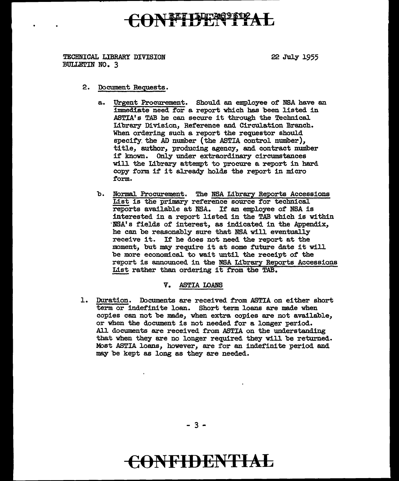## ON FILLETIAL

TECHNICAL LIBRARY DIVISION BULLETIN NO. 3

22 July 1955

- 2. Document Requests.
	- a. Urgent Procurement. Should an employee of NSA have an immediate need for a report which has been listed in ASTIA's TAB he can secure it through the Technical Library Division, Reference and Circulation Branch. When ordering such a report the requestor should specify. the AD number {the ASTIA control number), title, author, producing agency, and contract number if known. Only under extraordinary circumstances will the Library attempt to procure a report in bard copy form if it already holds the report in micro form.
	- b. Normal Procurement. The NSA Library Reports Accessions List is the primary reference source for technical reports available at NSA. If an employee of NSA is interested in a report listed in the TAB which is within NSA's fields of interest, as indicated in the Appendix, he can be reasonably sure that NSA will eventually receive it. If he does not need the report at the moment, but may require it at some future date it will be more economical to wait until the receipt of the report is announced in the NSA Library Reports Accessions List rather than ordering it from the TAB.

V. ASTIA LOANS

l. Duration. Documents are received from ASTIA on either short term or indefinite loan. Short term loans are made when copies can not be made, when extra copies are not available, or when the document is not needed for a longer period. All documents are received from ASTIA on the understanding that when they are no longer required they will be returned. Most ASTIA loans, however, are for an indefinite period and may be kept as long as they are needed.

 $-3 -$ 

## **C0NFIDENTIAL**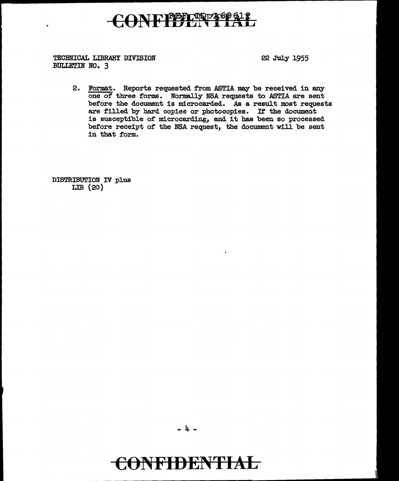### CONFIDENTIAL

TECHNICAL LIBRARY DIVISION BULLETIN NO. 3

22 July 1955

2. Format. Reports requested from ASTIA may be received in any one of three forms. Normally NSA requests to ASTIA are sent before the document is microcarded. As a result most requests are filled by hard copies or photocopies. If the document is susceptible of microcarding, and it has been so processed before receipt of the NSA request, the document will be sent in that form.

DISTRIBUTION IV plus LIB (20)

 $-4 -$ 

## CONFIDENTIAL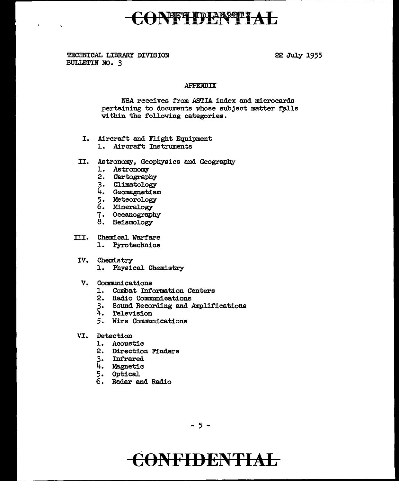### CONFFITDIAN TAL

TECHNICAL LIBRARY DIVISION **BULLETIN NO. 3** 

 $\sim$ 

22 July 1955

#### **APPENDIX**

NSA receives from ASTIA index and microcards pertaining to documents whose subject matter falls within the following categories.

- I. Aircraft and Flight Equipment
	- 1. Aircraft Instruments
- II. Astronomy, Geophysics and Geography
	- 1. Astronomy
	- 2. Cartography
	- 3. Climatology
	- 4. Geomagnetism<br>5. Meteorology
	-
	- 6. Mineralogy
	- 7. Oceanography<br>8. Seismology
	-
- III. Chemical Warfare
	- 1. Pyrotechnics
- IV. Chemistry
	- 1. Physical Chemistry
- V. Communications
	- 1. Combat Information Centers
	- 2. Radio Communications
	- 3. Sound Recording and Amplifications
	- 4. Television
	- 5. Wire Communications
- VI. Detection
	- 1. Acoustic
	- 2. Direction Finders
	- 3. Infrared
	- 4. Magnetic
	- 5. Optical
	- 6. Radar and Radio

 $-5 -$ 

### **ONFIDENTIAL**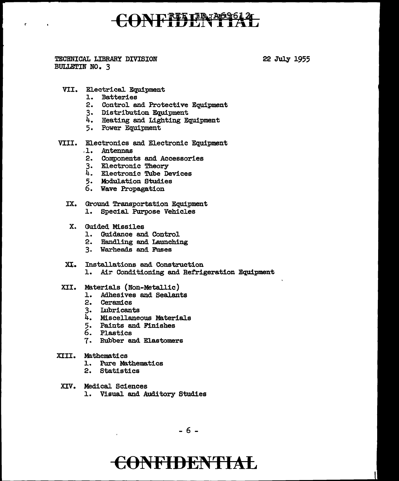## ONEFFEREEL?

TECHNICAL LIBRARY DIVISION BULLETIN NO. 3

r.

 $\mathcal{L}_{\mathbf{c}}$ 

22 July 1955

- VII. Electrical. Equipment
	- 1. Batteries
	- 2. Control and Protective Equipment
	- 3. Distribution Equipment
	- 4. Heating and Lighting Equipment
	- 5. Power Equipment
- VIII. Electronics and Electronic Equipment
	- . 1. .Antennas
	- 2. Components and Accessories
	- 3. Electronic Theory
	- 4. Electronic Tube Devices
	- 5. Modulation Studies
	- 6. Wave Propagation
	- IX. Ground Transportation Equipment l. Special Purpose Vehicles
		- X. Guided Missiles
			- l. Guidance and Control
			- 2. Handling and Launching
			- 3. Warheads and Fuses
	- XI. Installations and Construction 1. Air Conditioning and Refrigeration Equipment
- XII. Materials (Non-Metallic)
	- l. Adhesives and Sealants
	- 2. Ceramics
	- 3. Lubricants
	- 4. Miscellaneous Materials
	- 5. Paints and Finishes
	- 6. Plastics
	- 7. Rubber and Elastomers
- XIII. Mathematics
	- l.. Pure Mathematics
	- 2. Statistics

 $\mathbf{r}$ 

- XIV. Medical Sciences
	- 1. Visual and Auditory Studies

- 6 -

### **C6NFIDENTIAL**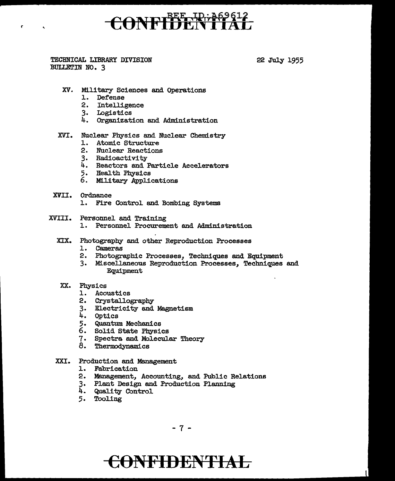# CONFIDENTIAL

TECHNICAL LIBRARY DIVISION BULLETIN NO. 3

Ł

22 July 1955

- XV. Military Sciences and Operations
	- 1. Defense
	- 2. Intelligence
	- 3. Logistics
	- 4. Organization and Administration

#### XVI. Nuclear Physics and Nuclear Chemistry

- 1. Atomic Structure
- 2. Nuclear Reactions
- 3. Radioactivity
- 4. Reactors and Particle Accelerators
- 5. Health Physics
- 6. Military Applications
- XVII. Ordnance
	- 1. Fire Control and Bombing Systems
- XVIII. Personnel and Training
	- 1. Personnel Procurement and Administration
	- XIX. Photography and other Reproduction Processes
		- 1. Cameras
		- 2. Photographic Processes, Techniques and Equipment
		- 3. Miscellaneous Reproduction Processes, Techniques and Equipment

#### XX. Physics

- 1. Acoustics
- 2. Crystallography
- 3. Electricity and Magnetism
- 4. Optics
- 5. Quantum Mechanics
- 6. Solid State Physics
- 7. Spectra and Molecular Theory
- 8. Thermodynamics
- XXI. Production and Management
	- 1. Fabrication
	- 2. Management, Accounting, and Public Relations
	- 3. Plant Design and Production Planning
	- 4. Quality Control
	- 5. Tooling

 $-7 -$ 

## CONFIDENTIAL